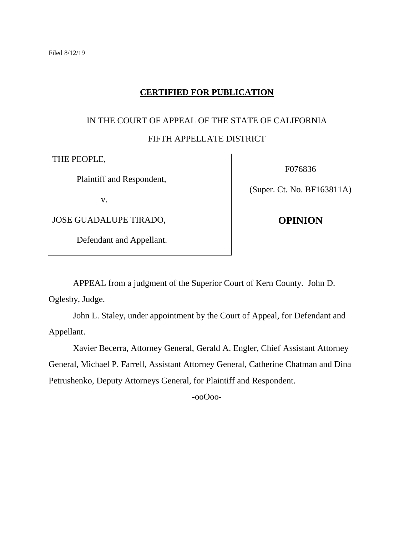## **CERTIFIED FOR PUBLICATION**

# IN THE COURT OF APPEAL OF THE STATE OF CALIFORNIA FIFTH APPELLATE DISTRICT

THE PEOPLE,

Plaintiff and Respondent,

v.

JOSE GUADALUPE TIRADO,

Defendant and Appellant.

F076836

(Super. Ct. No. BF163811A)

**OPINION**

APPEAL from a judgment of the Superior Court of Kern County. John D.

Oglesby, Judge.

John L. Staley, under appointment by the Court of Appeal, for Defendant and Appellant.

Xavier Becerra, Attorney General, Gerald A. Engler, Chief Assistant Attorney General, Michael P. Farrell, Assistant Attorney General, Catherine Chatman and Dina Petrushenko, Deputy Attorneys General, for Plaintiff and Respondent.

-ooOoo-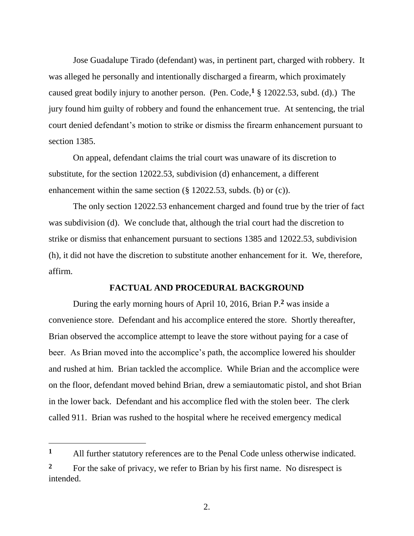Jose Guadalupe Tirado (defendant) was, in pertinent part, charged with robbery. It was alleged he personally and intentionally discharged a firearm, which proximately caused great bodily injury to another person. (Pen. Code, <sup>1</sup> § 12022.53, subd. (d).) The jury found him guilty of robbery and found the enhancement true. At sentencing, the trial court denied defendant's motion to strike or dismiss the firearm enhancement pursuant to section 1385.

On appeal, defendant claims the trial court was unaware of its discretion to substitute, for the section 12022.53, subdivision (d) enhancement, a different enhancement within the same section (§ 12022.53, subds. (b) or (c)).

The only section 12022.53 enhancement charged and found true by the trier of fact was subdivision (d). We conclude that, although the trial court had the discretion to strike or dismiss that enhancement pursuant to sections 1385 and 12022.53, subdivision (h), it did not have the discretion to substitute another enhancement for it. We, therefore, affirm.

#### **FACTUAL AND PROCEDURAL BACKGROUND**

During the early morning hours of April 10, 2016, Brian P.**<sup>2</sup>** was inside a convenience store. Defendant and his accomplice entered the store. Shortly thereafter, Brian observed the accomplice attempt to leave the store without paying for a case of beer. As Brian moved into the accomplice's path, the accomplice lowered his shoulder and rushed at him. Brian tackled the accomplice. While Brian and the accomplice were on the floor, defendant moved behind Brian, drew a semiautomatic pistol, and shot Brian in the lower back. Defendant and his accomplice fled with the stolen beer. The clerk called 911. Brian was rushed to the hospital where he received emergency medical

 $\overline{a}$ 

**<sup>1</sup>** All further statutory references are to the Penal Code unless otherwise indicated.

<sup>&</sup>lt;sup>2</sup> For the sake of privacy, we refer to Brian by his first name. No disrespect is intended.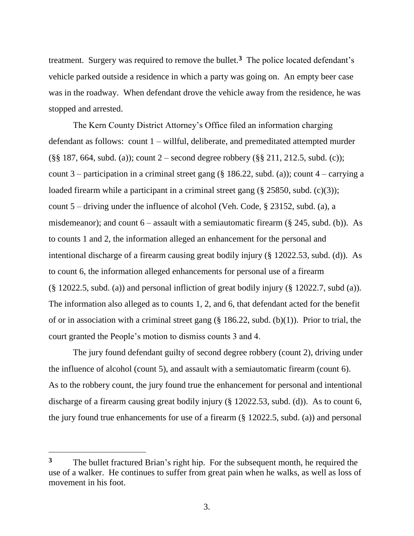treatment. Surgery was required to remove the bullet.**<sup>3</sup>** The police located defendant's vehicle parked outside a residence in which a party was going on. An empty beer case was in the roadway. When defendant drove the vehicle away from the residence, he was stopped and arrested.

The Kern County District Attorney's Office filed an information charging defendant as follows: count 1 – willful, deliberate, and premeditated attempted murder (§§ 187, 664, subd. (a)); count 2 – second degree robbery (§§ 211, 212.5, subd. (c)); count 3 – participation in a criminal street gang (§ 186.22, subd. (a)); count  $4$  – carrying a loaded firearm while a participant in a criminal street gang (§ 25850, subd. (c)(3)); count 5 – driving under the influence of alcohol (Veh. Code, § 23152, subd. (a), a misdemeanor); and count  $6 -$  assault with a semiautomatic firearm (§ 245, subd. (b)). As to counts 1 and 2, the information alleged an enhancement for the personal and intentional discharge of a firearm causing great bodily injury (§ 12022.53, subd. (d)). As to count 6, the information alleged enhancements for personal use of a firearm (§ 12022.5, subd. (a)) and personal infliction of great bodily injury (§ 12022.7, subd (a)). The information also alleged as to counts 1, 2, and 6, that defendant acted for the benefit of or in association with a criminal street gang  $(\S 186.22, \text{subd. (b)}(1))$ . Prior to trial, the court granted the People's motion to dismiss counts 3 and 4.

The jury found defendant guilty of second degree robbery (count 2), driving under the influence of alcohol (count 5), and assault with a semiautomatic firearm (count 6). As to the robbery count, the jury found true the enhancement for personal and intentional discharge of a firearm causing great bodily injury (§ 12022.53, subd. (d)). As to count 6, the jury found true enhancements for use of a firearm (§ 12022.5, subd. (a)) and personal

 $\overline{a}$ 

**<sup>3</sup>** The bullet fractured Brian's right hip. For the subsequent month, he required the use of a walker. He continues to suffer from great pain when he walks, as well as loss of movement in his foot.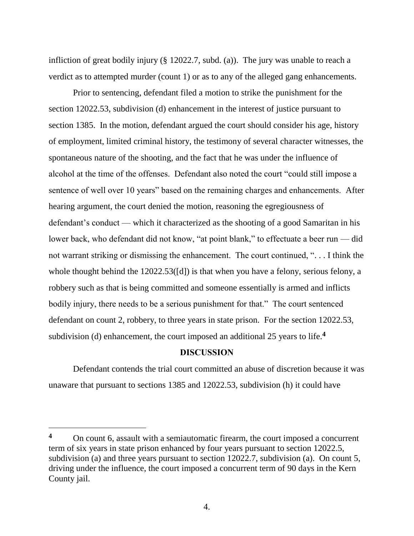infliction of great bodily injury (§ 12022.7, subd. (a)). The jury was unable to reach a verdict as to attempted murder (count 1) or as to any of the alleged gang enhancements.

Prior to sentencing, defendant filed a motion to strike the punishment for the section 12022.53, subdivision (d) enhancement in the interest of justice pursuant to section 1385. In the motion, defendant argued the court should consider his age, history of employment, limited criminal history, the testimony of several character witnesses, the spontaneous nature of the shooting, and the fact that he was under the influence of alcohol at the time of the offenses. Defendant also noted the court "could still impose a sentence of well over 10 years" based on the remaining charges and enhancements. After hearing argument, the court denied the motion, reasoning the egregiousness of defendant's conduct — which it characterized as the shooting of a good Samaritan in his lower back, who defendant did not know, "at point blank," to effectuate a beer run — did not warrant striking or dismissing the enhancement. The court continued, ". . . I think the whole thought behind the 12022.53([d]) is that when you have a felony, serious felony, a robbery such as that is being committed and someone essentially is armed and inflicts bodily injury, there needs to be a serious punishment for that." The court sentenced defendant on count 2, robbery, to three years in state prison. For the section 12022.53, subdivision (d) enhancement, the court imposed an additional 25 years to life.**<sup>4</sup>**

#### **DISCUSSION**

Defendant contends the trial court committed an abuse of discretion because it was unaware that pursuant to sections 1385 and 12022.53, subdivision (h) it could have

**<sup>4</sup>** On count 6, assault with a semiautomatic firearm, the court imposed a concurrent term of six years in state prison enhanced by four years pursuant to section 12022.5, subdivision (a) and three years pursuant to section 12022.7, subdivision (a). On count 5, driving under the influence, the court imposed a concurrent term of 90 days in the Kern County jail.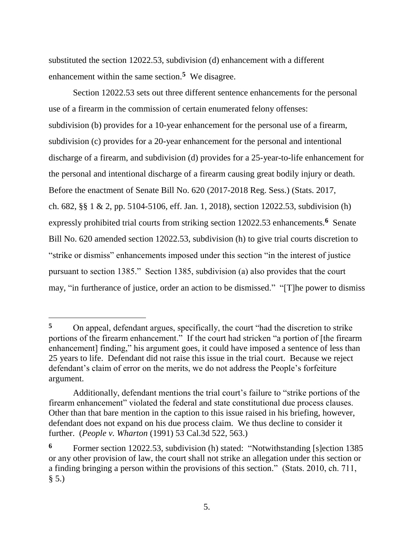substituted the section 12022.53, subdivision (d) enhancement with a different enhancement within the same section.**<sup>5</sup>** We disagree.

Section 12022.53 sets out three different sentence enhancements for the personal use of a firearm in the commission of certain enumerated felony offenses: subdivision (b) provides for a 10-year enhancement for the personal use of a firearm, subdivision (c) provides for a 20-year enhancement for the personal and intentional discharge of a firearm, and subdivision (d) provides for a 25-year-to-life enhancement for the personal and intentional discharge of a firearm causing great bodily injury or death. Before the enactment of Senate Bill No. 620 (2017-2018 Reg. Sess.) (Stats. 2017, ch. 682, §§ 1 & 2, pp. 5104-5106, eff. Jan. 1, 2018), section 12022.53, subdivision (h) expressly prohibited trial courts from striking section 12022.53 enhancements.<sup>6</sup> Senate Bill No. 620 amended section 12022.53, subdivision (h) to give trial courts discretion to "strike or dismiss" enhancements imposed under this section "in the interest of justice pursuant to section 1385." Section 1385, subdivision (a) also provides that the court may, "in furtherance of justice, order an action to be dismissed." "[T]he power to dismiss

**<sup>5</sup>** On appeal, defendant argues, specifically, the court "had the discretion to strike portions of the firearm enhancement." If the court had stricken "a portion of [the firearm enhancement] finding," his argument goes, it could have imposed a sentence of less than 25 years to life. Defendant did not raise this issue in the trial court. Because we reject defendant's claim of error on the merits, we do not address the People's forfeiture argument.

Additionally, defendant mentions the trial court's failure to "strike portions of the firearm enhancement" violated the federal and state constitutional due process clauses. Other than that bare mention in the caption to this issue raised in his briefing, however, defendant does not expand on his due process claim. We thus decline to consider it further. (*People v. Wharton* (1991) 53 Cal.3d 522, 563.)

**<sup>6</sup>** Former section 12022.53, subdivision (h) stated: "Notwithstanding [s]ection 1385 or any other provision of law, the court shall not strike an allegation under this section or a finding bringing a person within the provisions of this section." (Stats. 2010, ch. 711,  $§ 5.)$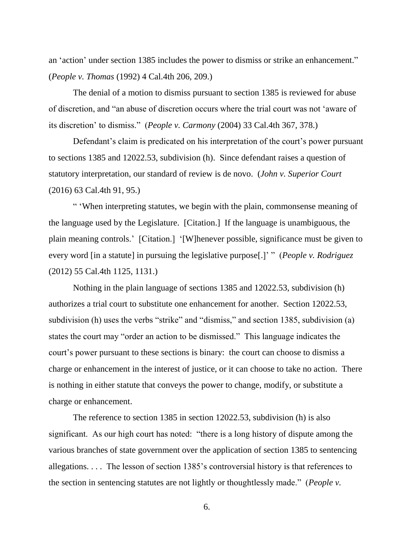an 'action' under section 1385 includes the power to dismiss or strike an enhancement." (*People v. Thomas* (1992) 4 Cal.4th 206, 209.)

The denial of a motion to dismiss pursuant to section 1385 is reviewed for abuse of discretion, and "an abuse of discretion occurs where the trial court was not 'aware of its discretion' to dismiss." (*People v. Carmony* (2004) 33 Cal.4th 367, 378.)

Defendant's claim is predicated on his interpretation of the court's power pursuant to sections 1385 and 12022.53, subdivision (h). Since defendant raises a question of statutory interpretation, our standard of review is de novo. (*John v. Superior Court* (2016) 63 Cal.4th 91, 95.)

" 'When interpreting statutes, we begin with the plain, commonsense meaning of the language used by the Legislature. [Citation.] If the language is unambiguous, the plain meaning controls.' [Citation.] '[W]henever possible, significance must be given to every word [in a statute] in pursuing the legislative purpose[.]' " (*People v. Rodriguez*  (2012) 55 Cal.4th 1125, 1131.)

Nothing in the plain language of sections 1385 and 12022.53, subdivision (h) authorizes a trial court to substitute one enhancement for another. Section 12022.53, subdivision (h) uses the verbs "strike" and "dismiss," and section 1385, subdivision (a) states the court may "order an action to be dismissed." This language indicates the court's power pursuant to these sections is binary: the court can choose to dismiss a charge or enhancement in the interest of justice, or it can choose to take no action. There is nothing in either statute that conveys the power to change, modify, or substitute a charge or enhancement.

The reference to section 1385 in section 12022.53, subdivision (h) is also significant. As our high court has noted: "there is a long history of dispute among the various branches of state government over the application of section 1385 to sentencing allegations. . . . The lesson of section 1385's controversial history is that references to the section in sentencing statutes are not lightly or thoughtlessly made." (*People v.*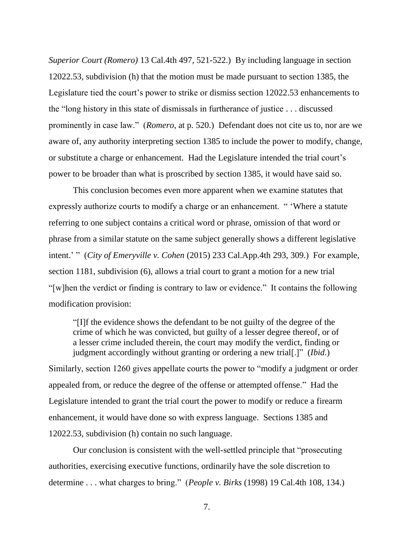*Superior Court (Romero)* 13 Cal.4th 497, 521-522.) By including language in section 12022.53, subdivision (h) that the motion must be made pursuant to section 1385, the Legislature tied the court's power to strike or dismiss section 12022.53 enhancements to the "long history in this state of dismissals in furtherance of justice . . . discussed prominently in case law." (*Romero*, at p. 520.) Defendant does not cite us to, nor are we aware of, any authority interpreting section 1385 to include the power to modify, change, or substitute a charge or enhancement. Had the Legislature intended the trial court's power to be broader than what is proscribed by section 1385, it would have said so.

This conclusion becomes even more apparent when we examine statutes that expressly authorize courts to modify a charge or an enhancement. " 'Where a statute referring to one subject contains a critical word or phrase, omission of that word or phrase from a similar statute on the same subject generally shows a different legislative intent.' " (*City of Emeryville v. Cohen* (2015) 233 Cal.App.4th 293, 309.) For example, section 1181, subdivision (6), allows a trial court to grant a motion for a new trial "[w]hen the verdict or finding is contrary to law or evidence." It contains the following modification provision:

"[I]f the evidence shows the defendant to be not guilty of the degree of the crime of which he was convicted, but guilty of a lesser degree thereof, or of a lesser crime included therein, the court may modify the verdict, finding or judgment accordingly without granting or ordering a new trial[.]" (*Ibid*.) Similarly, section 1260 gives appellate courts the power to "modify a judgment or order appealed from, or reduce the degree of the offense or attempted offense." Had the Legislature intended to grant the trial court the power to modify or reduce a firearm enhancement, it would have done so with express language. Sections 1385 and 12022.53, subdivision (h) contain no such language.

Our conclusion is consistent with the well-settled principle that "prosecuting authorities, exercising executive functions, ordinarily have the sole discretion to determine . . . what charges to bring." (*People v. Birks* (1998) 19 Cal.4th 108, 134.)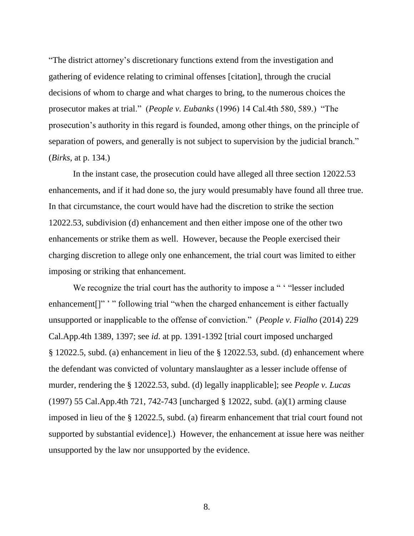"The district attorney's discretionary functions extend from the investigation and gathering of evidence relating to criminal offenses [citation], through the crucial decisions of whom to charge and what charges to bring, to the numerous choices the prosecutor makes at trial." (*People v. Eubanks* (1996) 14 Cal.4th 580, 589.) "The prosecution's authority in this regard is founded, among other things, on the principle of separation of powers, and generally is not subject to supervision by the judicial branch." (*Birks*, at p. 134.)

In the instant case, the prosecution could have alleged all three section 12022.53 enhancements, and if it had done so, the jury would presumably have found all three true. In that circumstance, the court would have had the discretion to strike the section 12022.53, subdivision (d) enhancement and then either impose one of the other two enhancements or strike them as well. However, because the People exercised their charging discretion to allege only one enhancement, the trial court was limited to either imposing or striking that enhancement.

We recognize the trial court has the authority to impose a " ' "lesser included" enhancement<sup>[]"</sup> '" following trial "when the charged enhancement is either factually unsupported or inapplicable to the offense of conviction." (*People v. Fialho* (2014) 229 Cal.App.4th 1389, 1397; see *id*. at pp. 1391-1392 [trial court imposed uncharged § 12022.5, subd. (a) enhancement in lieu of the § 12022.53, subd. (d) enhancement where the defendant was convicted of voluntary manslaughter as a lesser include offense of murder, rendering the § 12022.53, subd. (d) legally inapplicable]; see *People v. Lucas* (1997) 55 Cal.App.4th 721, 742-743 [uncharged § 12022, subd. (a)(1) arming clause imposed in lieu of the § 12022.5, subd. (a) firearm enhancement that trial court found not supported by substantial evidence].) However, the enhancement at issue here was neither unsupported by the law nor unsupported by the evidence.